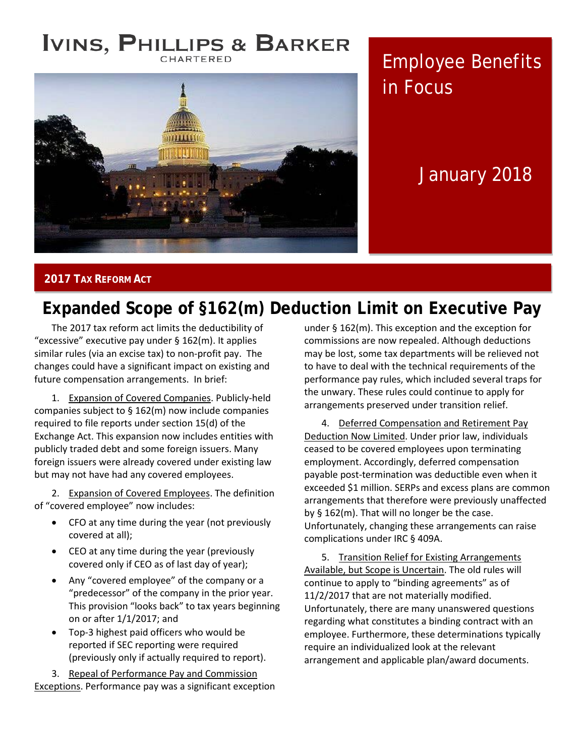### **IVINS, PHILLIPS & BARKER** CHARTERED



Employee Benefits in Focus

# January 2018

#### **2017 TAX REFORM ACT**

# **Expanded Scope of §162(m) Deduction Limit on Executive Pay**

The 2017 tax reform act limits the deductibility of "excessive" executive pay under § 162(m). It applies similar rules (via an excise tax) to non-profit pay. The changes could have a significant impact on existing and future compensation arrangements. In brief:

1. Expansion of Covered Companies. Publicly-held companies subject to § 162(m) now include companies required to file reports under section 15(d) of the Exchange Act. This expansion now includes entities with publicly traded debt and some foreign issuers. Many foreign issuers were already covered under existing law but may not have had any covered employees.

2. Expansion of Covered Employees. The definition of "covered employee" now includes:

- CFO at any time during the year (not previously covered at all);
- CEO at any time during the year (previously covered only if CEO as of last day of year);
- Any "covered employee" of the company or a "predecessor" of the company in the prior year. This provision "looks back" to tax years beginning on or after 1/1/2017; and
- Top-3 highest paid officers who would be reported if SEC reporting were required (previously only if actually required to report).

3. Repeal of Performance Pay and Commission Exceptions. Performance pay was a significant exception under § 162(m). This exception and the exception for commissions are now repealed. Although deductions may be lost, some tax departments will be relieved not to have to deal with the technical requirements of the performance pay rules, which included several traps for the unwary. These rules could continue to apply for arrangements preserved under transition relief.

4. Deferred Compensation and Retirement Pay Deduction Now Limited. Under prior law, individuals ceased to be covered employees upon terminating employment. Accordingly, deferred compensation payable post-termination was deductible even when it exceeded \$1 million. SERPs and excess plans are common arrangements that therefore were previously unaffected by § 162(m). That will no longer be the case. Unfortunately, changing these arrangements can raise complications under IRC § 409A.

5. Transition Relief for Existing Arrangements Available, but Scope is Uncertain. The old rules will continue to apply to "binding agreements" as of 11/2/2017 that are not materially modified. Unfortunately, there are many unanswered questions regarding what constitutes a binding contract with an employee. Furthermore, these determinations typically require an individualized look at the relevant arrangement and applicable plan/award documents.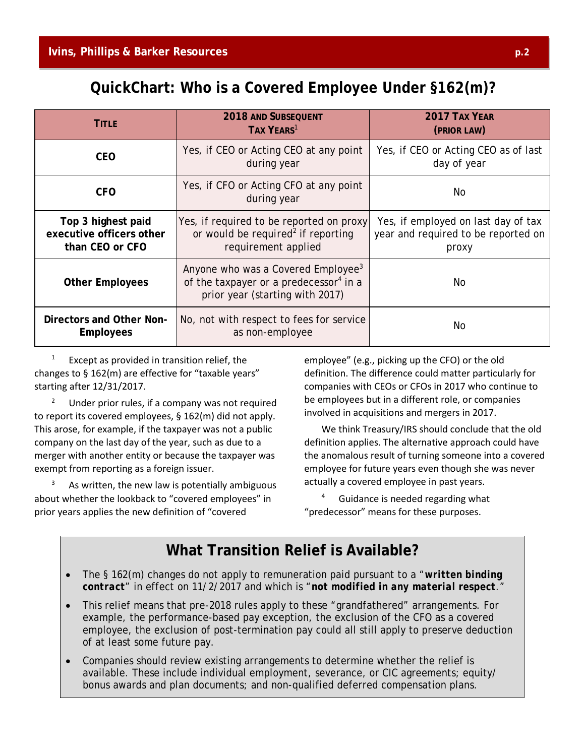## **QuickChart: Who is a Covered Employee Under §162(m)?**

| <b>TITLE</b>                                                      | <b>2018 AND SUBSEQUENT</b><br>TAX YEARS <sup>1</sup>                                                                                    | <b>2017 TAX YEAR</b><br>(PRIOR LAW)                                                 |
|-------------------------------------------------------------------|-----------------------------------------------------------------------------------------------------------------------------------------|-------------------------------------------------------------------------------------|
| <b>CEO</b>                                                        | Yes, if CEO or Acting CEO at any point<br>during year                                                                                   | Yes, if CEO or Acting CEO as of last<br>day of year                                 |
| <b>CFO</b>                                                        | Yes, if CFO or Acting CFO at any point<br>during year                                                                                   | No                                                                                  |
| Top 3 highest paid<br>executive officers other<br>than CEO or CFO | Yes, if required to be reported on proxy<br>or would be required <sup>2</sup> if reporting<br>requirement applied                       | Yes, if employed on last day of tax<br>year and required to be reported on<br>proxy |
| <b>Other Employees</b>                                            | Anyone who was a Covered Employee <sup>3</sup><br>of the taxpayer or a predecessor <sup>4</sup> in a<br>prior year (starting with 2017) | No.                                                                                 |
| Directors and Other Non-<br><b>Employees</b>                      | No, not with respect to fees for service<br>as non-employee                                                                             | No.                                                                                 |

Except as provided in transition relief, the changes to § 162(m) are effective for "taxable years" starting after 12/31/2017.

Under prior rules, if a company was not required to report its covered employees, § 162(m) did not apply. This arose, for example, if the taxpayer was not a public company on the last day of the year, such as due to a merger with another entity or because the taxpayer was exempt from reporting as a foreign issuer.

As written, the new law is potentially ambiguous about whether the lookback to "covered employees" in prior years applies the new definition of "covered

employee" (e.g., picking up the CFO) or the old definition. The difference could matter particularly for companies with CEOs or CFOs in 2017 who continue to be employees but in a different role, or companies involved in acquisitions and mergers in 2017.

We think Treasury/IRS should conclude that the old definition applies. The alternative approach could have the anomalous result of turning someone into a covered employee for future years even though she was never actually a covered employee in past years.

<sup>4</sup> Guidance is needed regarding what "predecessor" means for these purposes.

## **What Transition Relief is Available?**

- The § 162(m) changes do not apply to remuneration paid pursuant to a "*written binding contract*" in effect on 11/2/2017 and which is "*not modified in any material respect*."
- This relief means that pre-2018 rules apply to these "grandfathered" arrangements. For example, the performance-based pay exception, the exclusion of the CFO as a covered employee, the exclusion of post-termination pay could all still apply to preserve deduction of at least some future pay.
- Companies should review existing arrangements to determine whether the relief is available. These include individual employment, severance, or CIC agreements; equity/ bonus awards and plan documents; and non-qualified deferred compensation plans.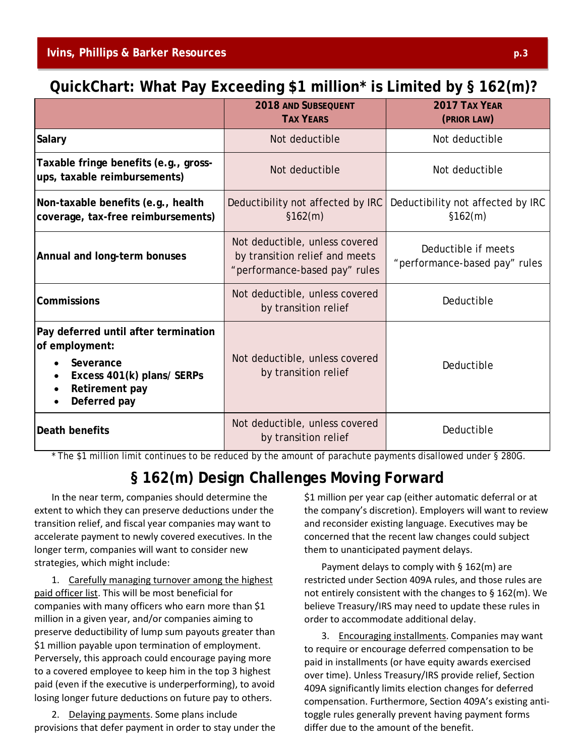## **QuickChart: What Pay Exceeding \$1 million\* is Limited by § 162(m)?**

|                                                                                                                                     | <b>2018 AND SUBSEQUENT</b><br><b>TAX YEARS</b>                                                    | 2017 TAX YEAR<br>(PRIOR LAW)                         |
|-------------------------------------------------------------------------------------------------------------------------------------|---------------------------------------------------------------------------------------------------|------------------------------------------------------|
| <b>Salary</b>                                                                                                                       | Not deductible                                                                                    | Not deductible                                       |
| Taxable fringe benefits (e.g., gross-<br>ups, taxable reimbursements)                                                               | Not deductible                                                                                    | Not deductible                                       |
| Non-taxable benefits (e.g., health<br>coverage, tax-free reimbursements)                                                            | Deductibility not affected by IRC<br>\$162(m)                                                     | Deductibility not affected by IRC<br>\$162(m)        |
| Annual and long-term bonuses                                                                                                        | Not deductible, unless covered<br>by transition relief and meets<br>"performance-based pay" rules | Deductible if meets<br>"performance-based pay" rules |
| <b>Commissions</b>                                                                                                                  | Not deductible, unless covered<br>by transition relief                                            | Deductible                                           |
| Pay deferred until after termination<br>of employment:<br>Severance<br>Excess 401(k) plans/ SERPs<br>Retirement pay<br>Deferred pay | Not deductible, unless covered<br>by transition relief                                            | Deductible                                           |
| Death benefits                                                                                                                      | Not deductible, unless covered<br>by transition relief                                            | Deductible                                           |

\* The \$1 million limit continues to be reduced by the amount of parachute payments disallowed under § 280G.

## **§ 162(m) Design Challenges Moving Forward**

In the near term, companies should determine the extent to which they can preserve deductions under the transition relief, and fiscal year companies may want to accelerate payment to newly covered executives. In the longer term, companies will want to consider new strategies, which might include:

1. Carefully managing turnover among the highest paid officer list. This will be most beneficial for companies with many officers who earn more than \$1 million in a given year, and/or companies aiming to preserve deductibility of lump sum payouts greater than \$1 million payable upon termination of employment. Perversely, this approach could encourage paying more to a covered employee to keep him in the top 3 highest paid (even if the executive is underperforming), to avoid losing longer future deductions on future pay to others.

2. Delaying payments. Some plans include provisions that defer payment in order to stay under the \$1 million per year cap (either automatic deferral or at the company's discretion). Employers will want to review and reconsider existing language. Executives may be concerned that the recent law changes could subject them to unanticipated payment delays.

Payment delays to comply with § 162(m) are restricted under Section 409A rules, and those rules are not entirely consistent with the changes to § 162(m). We believe Treasury/IRS may need to update these rules in order to accommodate additional delay.

3. Encouraging installments. Companies may want to require or encourage deferred compensation to be paid in installments (or have equity awards exercised over time). Unless Treasury/IRS provide relief, Section 409A significantly limits election changes for deferred compensation. Furthermore, Section 409A's existing antitoggle rules generally prevent having payment forms differ due to the amount of the benefit.